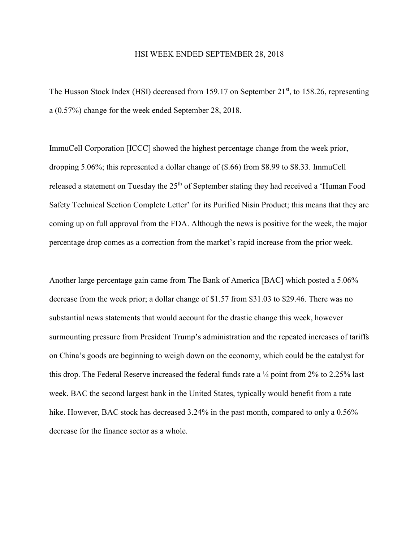## HSI WEEK ENDED SEPTEMBER 28, 2018

The Husson Stock Index (HSI) decreased from 159.17 on September  $21<sup>st</sup>$ , to 158.26, representing a (0.57%) change for the week ended September 28, 2018.

ImmuCell Corporation [ICCC] showed the highest percentage change from the week prior, dropping 5.06%; this represented a dollar change of (\$.66) from \$8.99 to \$8.33. ImmuCell released a statement on Tuesday the  $25<sup>th</sup>$  of September stating they had received a 'Human Food Safety Technical Section Complete Letter' for its Purified Nisin Product; this means that they are coming up on full approval from the FDA. Although the news is positive for the week, the major percentage drop comes as a correction from the market's rapid increase from the prior week.

Another large percentage gain came from The Bank of America [BAC] which posted a 5.06% decrease from the week prior; a dollar change of \$1.57 from \$31.03 to \$29.46. There was no substantial news statements that would account for the drastic change this week, however surmounting pressure from President Trump's administration and the repeated increases of tariffs on China's goods are beginning to weigh down on the economy, which could be the catalyst for this drop. The Federal Reserve increased the federal funds rate a ¼ point from 2% to 2.25% last week. BAC the second largest bank in the United States, typically would benefit from a rate hike. However, BAC stock has decreased 3.24% in the past month, compared to only a 0.56% decrease for the finance sector as a whole.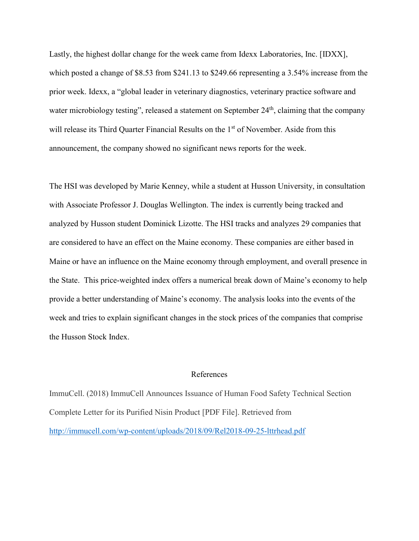Lastly, the highest dollar change for the week came from Idexx Laboratories, Inc. [IDXX], which posted a change of \$8.53 from \$241.13 to \$249.66 representing a 3.54% increase from the prior week. Idexx, a "global leader in veterinary diagnostics, veterinary practice software and water microbiology testing", released a statement on September 24<sup>th</sup>, claiming that the company will release its Third Quarter Financial Results on the 1<sup>st</sup> of November. Aside from this announcement, the company showed no significant news reports for the week.

The HSI was developed by Marie Kenney, while a student at Husson University, in consultation with Associate Professor J. Douglas Wellington. The index is currently being tracked and analyzed by Husson student Dominick Lizotte. The HSI tracks and analyzes 29 companies that are considered to have an effect on the Maine economy. These companies are either based in Maine or have an influence on the Maine economy through employment, and overall presence in the State. This price-weighted index offers a numerical break down of Maine's economy to help provide a better understanding of Maine's economy. The analysis looks into the events of the week and tries to explain significant changes in the stock prices of the companies that comprise the Husson Stock Index.

## References

ImmuCell. (2018) ImmuCell Announces Issuance of Human Food Safety Technical Section Complete Letter for its Purified Nisin Product [PDF File]. Retrieved from <http://immucell.com/wp-content/uploads/2018/09/Rel2018-09-25-lttrhead.pdf>